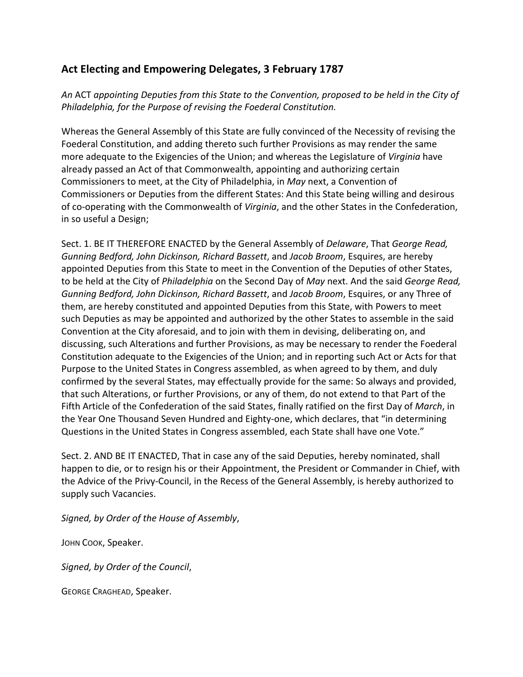## Act Electing and Empowering Delegates, 3 February 1787

An ACT appointing Deputies from this State to the Convention, proposed to be held in the City of Philadelphia, for the Purpose of revising the Foederal Constitution.

Whereas the General Assembly of this State are fully convinced of the Necessity of revising the Foederal Constitution, and adding thereto such further Provisions as may render the same more adequate to the Exigencies of the Union; and whereas the Legislature of Virginia have already passed an Act of that Commonwealth, appointing and authorizing certain Commissioners to meet, at the City of Philadelphia, in May next, a Convention of Commissioners or Deputies from the different States: And this State being willing and desirous of co-operating with the Commonwealth of Virginia, and the other States in the Confederation, in so useful a Design;

Sect. 1. BE IT THEREFORE ENACTED by the General Assembly of Delaware, That George Read, Gunning Bedford, John Dickinson, Richard Bassett, and Jacob Broom, Esquires, are hereby appointed Deputies from this State to meet in the Convention of the Deputies of other States, to be held at the City of Philadelphia on the Second Day of May next. And the said George Read, Gunning Bedford, John Dickinson, Richard Bassett, and Jacob Broom, Esquires, or any Three of them, are hereby constituted and appointed Deputies from this State, with Powers to meet such Deputies as may be appointed and authorized by the other States to assemble in the said Convention at the City aforesaid, and to join with them in devising, deliberating on, and discussing, such Alterations and further Provisions, as may be necessary to render the Foederal Constitution adequate to the Exigencies of the Union; and in reporting such Act or Acts for that Purpose to the United States in Congress assembled, as when agreed to by them, and duly confirmed by the several States, may effectually provide for the same: So always and provided, that such Alterations, or further Provisions, or any of them, do not extend to that Part of the Fifth Article of the Confederation of the said States, finally ratified on the first Day of March, in the Year One Thousand Seven Hundred and Eighty-one, which declares, that "in determining Questions in the United States in Congress assembled, each State shall have one Vote."

Sect. 2. AND BE IT ENACTED, That in case any of the said Deputies, hereby nominated, shall happen to die, or to resign his or their Appointment, the President or Commander in Chief, with the Advice of the Privy-Council, in the Recess of the General Assembly, is hereby authorized to supply such Vacancies.

Signed, by Order of the House of Assembly,

JOHN COOK, Speaker.

Signed, by Order of the Council,

**GEORGE CRAGHEAD, Speaker.**